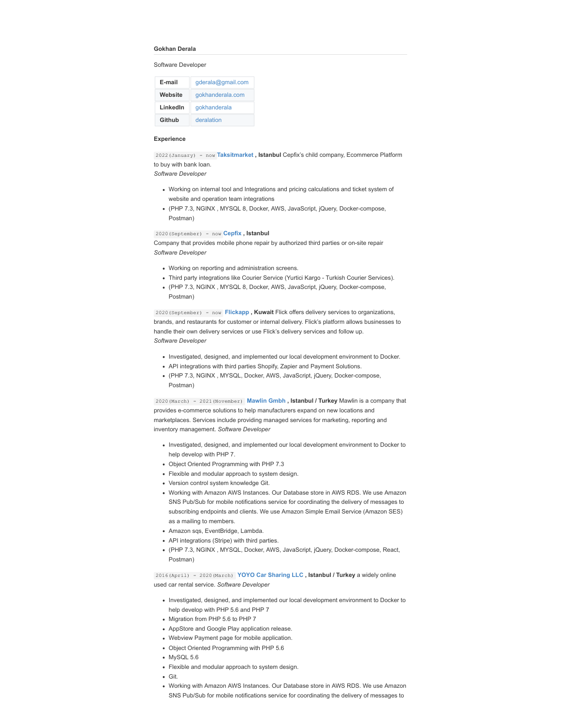#### **Gokhan Derala**

Software Developer

| E-mail   | qderala@qmail.com |
|----------|-------------------|
| Website  | gokhanderala.com  |
| LinkedIn | gokhanderala      |
| Github   | deralation        |

### **Experience**

2022(January) - now **[Taksitmarket ,](https://taksitmarket.com/) Istanbul** Cepfix's child company, Ecommerce Platform to buy with bank loan.

# *Software Developer*

- Working on internal tool and Integrations and pricing calculations and ticket system of website and operation team integrations
- (PHP 7.3, NGINX , MYSQL 8, Docker, AWS, JavaScript, jQuery, Docker-compose, Postman)

2020(September) - now **[Cepfix ,](https://cepfix.com/) Istanbul**

Company that provides mobile phone repair by authorized third parties or on-site repair *Software Developer*

- Working on reporting and administration screens.
- Third party integrations like Courier Service (Yurtici Kargo Turkish Courier Services).
- (PHP 7.3, NGINX , MYSQL 8, Docker, AWS, JavaScript, jQuery, Docker-compose, Postman)

2020(September) - now **[Flickapp ,](https://flickapp.me/) Kuwait** Flick offers delivery services to organizations, brands, and restaurants for customer or internal delivery. Flick's platform allows businesses to handle their own delivery services or use Flick's delivery services and follow up. *Software Developer*

- Investigated, designed, and implemented our local development environment to Docker.
- API integrations with third parties Shopify, Zapier and Payment Solutions.
- (PHP 7.3, NGINX , MYSQL, Docker, AWS, JavaScript, jQuery, Docker-compose, Postman)

2020(March) - 2021(November) **[Mawlin Gmbh ,](https://mawlin.com/) Istanbul / Turkey** Mawlin is a company that provides e-commerce solutions to help manufacturers expand on new locations and marketplaces. Services include providing managed services for marketing, reporting and inventory management. *Software Developer*

- Investigated, designed, and implemented our local development environment to Docker to help develop with PHP 7.
- Object Oriented Programming with PHP 7.3
- Flexible and modular approach to system design.
- Version control system knowledge Git.
- Working with Amazon AWS Instances. Our Database store in AWS RDS. We use Amazon SNS Pub/Sub for mobile notifications service for coordinating the delivery of messages to subscribing endpoints and clients. We use Amazon Simple Email Service (Amazon SES) as a mailing to members.
- Amazon sgs, EventBridge, Lambda.
- API integrations (Stripe) with third parties.
- (PHP 7.3, NGINX , MYSQL, Docker, AWS, JavaScript, jQuery, Docker-compose, React, Postman)

2016(April) - 2020(March) **[YOYO Car Sharing LLC](http://driveyoyo.com/) , Istanbul / Turkey** a widely online used car rental service. *Software Developer*

- Investigated, designed, and implemented our local development environment to Docker to help develop with PHP 5.6 and PHP 7
- Migration from PHP 5.6 to PHP 7
- AppStore and Google Play application release.
- Webview Payment page for mobile application.
- Object Oriented Programming with PHP 5.6
- MySQL 5.6
- Flexible and modular approach to system design.
- Git.
- Working with Amazon AWS Instances. Our Database store in AWS RDS. We use Amazon SNS Pub/Sub for mobile notifications service for coordinating the delivery of messages to